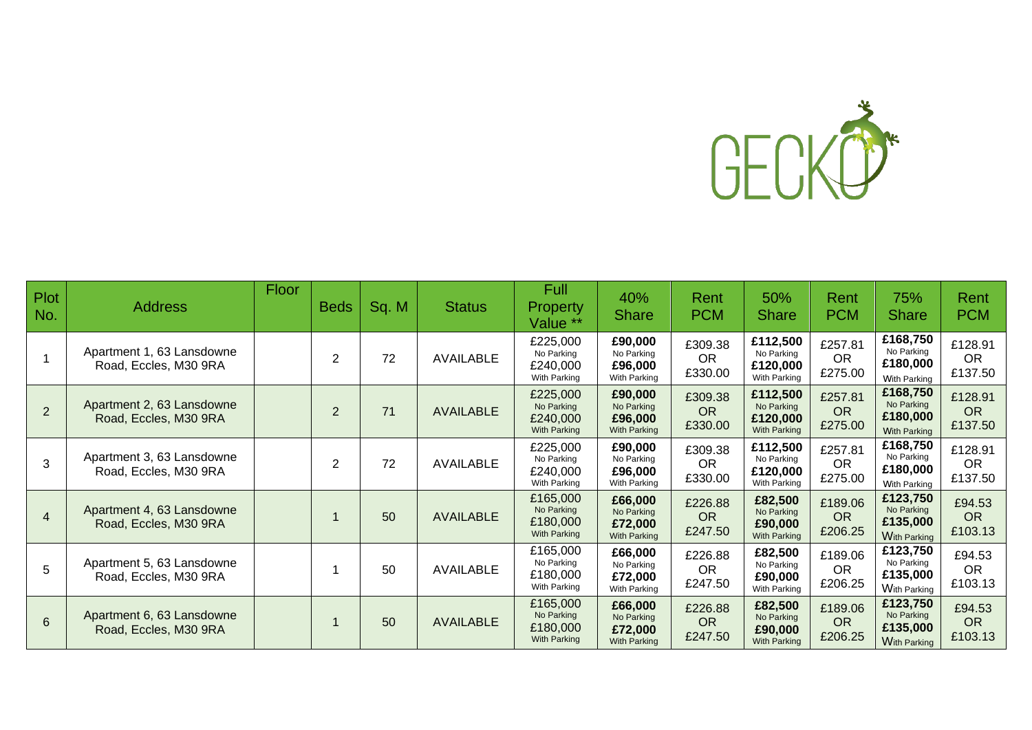

| <b>Plot</b><br>No. | <b>Address</b>                                     | Floor | <b>Beds</b>    | Sq. M | <b>Status</b>    | Full<br><b>Property</b><br>Value <sup>**</sup>     | 40%<br><b>Share</b>                                     | Rent<br><b>PCM</b>              | 50%<br><b>Share</b>                                | Rent<br><b>PCM</b>              | 75%<br><b>Share</b>                                       | Rent<br><b>PCM</b>              |
|--------------------|----------------------------------------------------|-------|----------------|-------|------------------|----------------------------------------------------|---------------------------------------------------------|---------------------------------|----------------------------------------------------|---------------------------------|-----------------------------------------------------------|---------------------------------|
|                    | Apartment 1, 63 Lansdowne<br>Road, Eccles, M30 9RA |       | $\overline{2}$ | 72    | <b>AVAILABLE</b> | £225,000<br>No Parking<br>£240,000<br>With Parking | £90,000<br>No Parking<br>£96,000<br>With Parking        | £309.38<br><b>OR</b><br>£330.00 | £112,500<br>No Parking<br>£120,000<br>With Parking | £257.81<br><b>OR</b><br>£275.00 | £168,750<br>No Parking<br>£180,000<br><b>With Parking</b> | £128.91<br><b>OR</b><br>£137.50 |
| 2                  | Apartment 2, 63 Lansdowne<br>Road, Eccles, M30 9RA |       | 2              | 71    | <b>AVAILABLE</b> | £225,000<br>No Parking<br>£240,000<br>With Parking | £90,000<br>No Parking<br>£96,000<br>With Parking        | £309.38<br><b>OR</b><br>£330.00 | £112,500<br>No Parking<br>£120,000<br>With Parking | £257.81<br><b>OR</b><br>£275.00 | £168,750<br>No Parking<br>£180,000<br><b>With Parking</b> | £128.91<br><b>OR</b><br>£137.50 |
| 3                  | Apartment 3, 63 Lansdowne<br>Road, Eccles, M30 9RA |       | 2              | 72    | <b>AVAILABLE</b> | £225,000<br>No Parking<br>£240,000<br>With Parking | £90,000<br>No Parking<br>£96,000<br>With Parking        | £309.38<br><b>OR</b><br>£330.00 | £112,500<br>No Parking<br>£120,000<br>With Parking | £257.81<br><b>OR</b><br>£275.00 | £168,750<br>No Parking<br>£180,000<br><b>With Parking</b> | £128.91<br><b>OR</b><br>£137.50 |
| $\overline{4}$     | Apartment 4, 63 Lansdowne<br>Road, Eccles, M30 9RA |       |                | 50    | <b>AVAILABLE</b> | £165,000<br>No Parking<br>£180,000<br>With Parking | £66,000<br>No Parking<br>£72,000<br>With Parking        | £226.88<br><b>OR</b><br>£247.50 | £82,500<br>No Parking<br>£90,000<br>With Parking   | £189.06<br><b>OR</b><br>£206.25 | £123,750<br>No Parking<br>£135,000<br><b>With Parking</b> | £94.53<br><b>OR</b><br>£103.13  |
| 5                  | Apartment 5, 63 Lansdowne<br>Road, Eccles, M30 9RA |       |                | 50    | AVAILABLE        | £165,000<br>No Parking<br>£180,000<br>With Parking | £66,000<br>No Parking<br>£72,000<br>With Parking        | £226.88<br><b>OR</b><br>£247.50 | £82,500<br>No Parking<br>£90,000<br>With Parking   | £189.06<br><b>OR</b><br>£206.25 | £123,750<br>No Parking<br>£135,000<br><b>With Parking</b> | £94.53<br><b>OR</b><br>£103.13  |
| $6\phantom{1}$     | Apartment 6, 63 Lansdowne<br>Road, Eccles, M30 9RA |       |                | 50    | <b>AVAILABLE</b> | £165,000<br>No Parking<br>£180,000<br>With Parking | £66,000<br>No Parking<br>£72,000<br><b>With Parking</b> | £226.88<br><b>OR</b><br>£247.50 | £82,500<br>No Parking<br>£90,000<br>With Parking   | £189.06<br><b>OR</b><br>£206.25 | £123,750<br>No Parking<br>£135,000<br><b>With Parking</b> | £94.53<br><b>OR</b><br>£103.13  |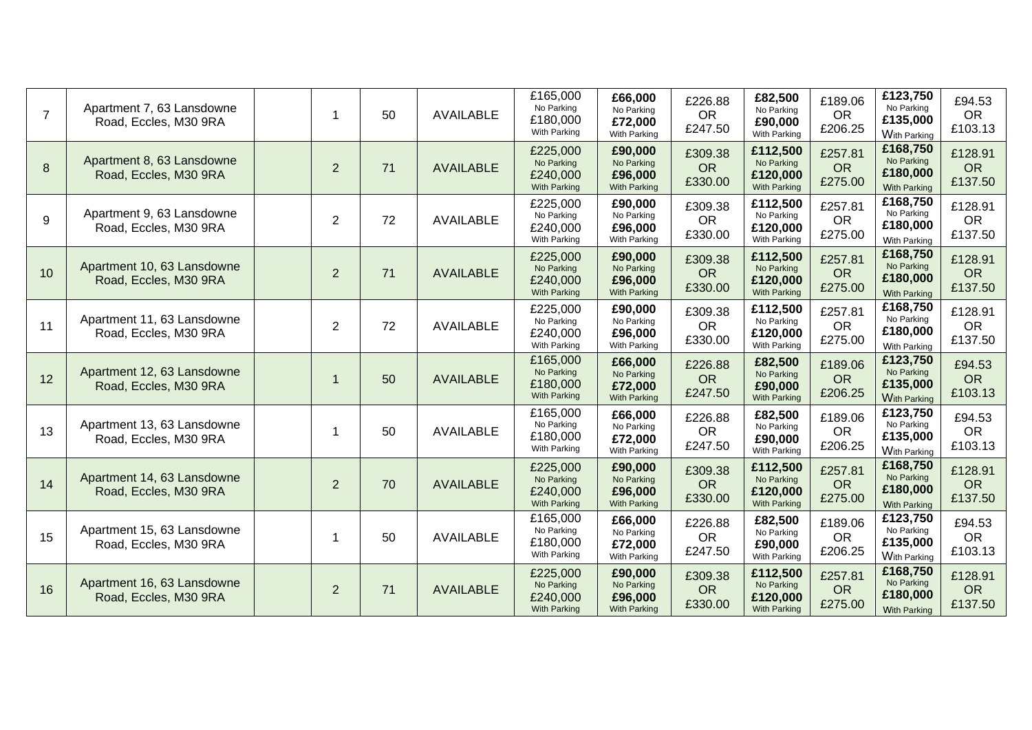| $\overline{7}$ | Apartment 7, 63 Lansdowne<br>Road, Eccles, M30 9RA  | $\mathbf 1$    | 50 | <b>AVAILABLE</b> | £165,000<br>No Parking<br>£180,000<br>With Parking        | £66,000<br>No Parking<br>£72,000<br>With Parking        | £226.88<br><b>OR</b><br>£247.50 | £82,500<br>No Parking<br>£90,000<br>With Parking          | £189.06<br><b>OR</b><br>£206.25 | £123,750<br>No Parking<br>£135,000<br><b>With Parking</b> | £94.53<br><b>OR</b><br>£103.13  |
|----------------|-----------------------------------------------------|----------------|----|------------------|-----------------------------------------------------------|---------------------------------------------------------|---------------------------------|-----------------------------------------------------------|---------------------------------|-----------------------------------------------------------|---------------------------------|
| 8              | Apartment 8, 63 Lansdowne<br>Road, Eccles, M30 9RA  | $\overline{2}$ | 71 | <b>AVAILABLE</b> | £225,000<br>No Parking<br>£240,000<br>With Parking        | £90,000<br>No Parking<br>£96,000<br>With Parking        | £309.38<br><b>OR</b><br>£330.00 | £112,500<br>No Parking<br>£120,000<br>With Parking        | £257.81<br><b>OR</b><br>£275.00 | £168,750<br>No Parking<br>£180,000<br><b>With Parking</b> | £128.91<br><b>OR</b><br>£137.50 |
| 9              | Apartment 9, 63 Lansdowne<br>Road, Eccles, M30 9RA  | $\overline{2}$ | 72 | <b>AVAILABLE</b> | £225,000<br>No Parking<br>£240,000<br>With Parking        | £90,000<br>No Parking<br>£96,000<br>With Parking        | £309.38<br><b>OR</b><br>£330.00 | £112,500<br>No Parking<br>£120,000<br>With Parking        | £257.81<br><b>OR</b><br>£275.00 | £168,750<br>No Parking<br>£180,000<br><b>With Parking</b> | £128.91<br><b>OR</b><br>£137.50 |
| 10             | Apartment 10, 63 Lansdowne<br>Road, Eccles, M30 9RA | $\overline{2}$ | 71 | <b>AVAILABLE</b> | £225,000<br>No Parking<br>£240,000<br><b>With Parking</b> | £90,000<br>No Parking<br>£96,000<br>With Parking        | £309.38<br><b>OR</b><br>£330.00 | £112,500<br>No Parking<br>£120,000<br>With Parking        | £257.81<br><b>OR</b><br>£275.00 | £168,750<br>No Parking<br>£180,000<br>With Parking        | £128.91<br><b>OR</b><br>£137.50 |
| 11             | Apartment 11, 63 Lansdowne<br>Road, Eccles, M30 9RA | $\overline{2}$ | 72 | <b>AVAILABLE</b> | £225,000<br>No Parking<br>£240,000<br>With Parking        | £90,000<br>No Parking<br>£96,000<br>With Parking        | £309.38<br><b>OR</b><br>£330.00 | £112,500<br>No Parking<br>£120,000<br>With Parking        | £257.81<br><b>OR</b><br>£275.00 | £168,750<br>No Parking<br>£180,000<br><b>With Parking</b> | £128.91<br><b>OR</b><br>£137.50 |
| 12             | Apartment 12, 63 Lansdowne<br>Road, Eccles, M30 9RA | $\mathbf 1$    | 50 | <b>AVAILABLE</b> | £165,000<br>No Parking<br>£180,000<br>With Parking        | £66,000<br>No Parking<br>£72,000<br>With Parking        | £226.88<br><b>OR</b><br>£247.50 | £82,500<br>No Parking<br>£90,000<br><b>With Parking</b>   | £189.06<br><b>OR</b><br>£206.25 | £123,750<br>No Parking<br>£135,000<br><b>With Parking</b> | £94.53<br><b>OR</b><br>£103.13  |
| 13             | Apartment 13, 63 Lansdowne<br>Road, Eccles, M30 9RA | 1              | 50 | <b>AVAILABLE</b> | £165,000<br>No Parking<br>£180,000<br>With Parking        | £66,000<br>No Parking<br>£72,000<br>With Parking        | £226.88<br><b>OR</b><br>£247.50 | £82,500<br>No Parking<br>£90,000<br>With Parking          | £189.06<br><b>OR</b><br>£206.25 | £123,750<br>No Parking<br>£135,000<br><b>With Parking</b> | £94.53<br><b>OR</b><br>£103.13  |
| 14             | Apartment 14, 63 Lansdowne<br>Road, Eccles, M30 9RA | $\overline{2}$ | 70 | <b>AVAILABLE</b> | £225,000<br>No Parking<br>£240,000<br>With Parking        | £90,000<br>No Parking<br>£96,000<br>With Parking        | £309.38<br><b>OR</b><br>£330.00 | £112,500<br>No Parking<br>£120,000<br><b>With Parking</b> | £257.81<br><b>OR</b><br>£275.00 | £168,750<br>No Parking<br>£180,000<br><b>With Parking</b> | £128.91<br><b>OR</b><br>£137.50 |
| 15             | Apartment 15, 63 Lansdowne<br>Road, Eccles, M30 9RA | 1              | 50 | <b>AVAILABLE</b> | £165,000<br>No Parking<br>£180,000<br>With Parking        | £66,000<br>No Parking<br>£72,000<br>With Parking        | £226.88<br><b>OR</b><br>£247.50 | £82,500<br>No Parking<br>£90,000<br>With Parking          | £189.06<br><b>OR</b><br>£206.25 | £123,750<br>No Parking<br>£135,000<br>With Parking        | £94.53<br><b>OR</b><br>£103.13  |
| 16             | Apartment 16, 63 Lansdowne<br>Road, Eccles, M30 9RA | $\overline{2}$ | 71 | <b>AVAILABLE</b> | £225,000<br>No Parking<br>£240,000<br><b>With Parking</b> | £90,000<br>No Parking<br>£96,000<br><b>With Parking</b> | £309.38<br><b>OR</b><br>£330.00 | £112,500<br>No Parking<br>£120,000<br>With Parking        | £257.81<br><b>OR</b><br>£275.00 | £168,750<br>No Parking<br>£180,000<br><b>With Parking</b> | £128.91<br><b>OR</b><br>£137.50 |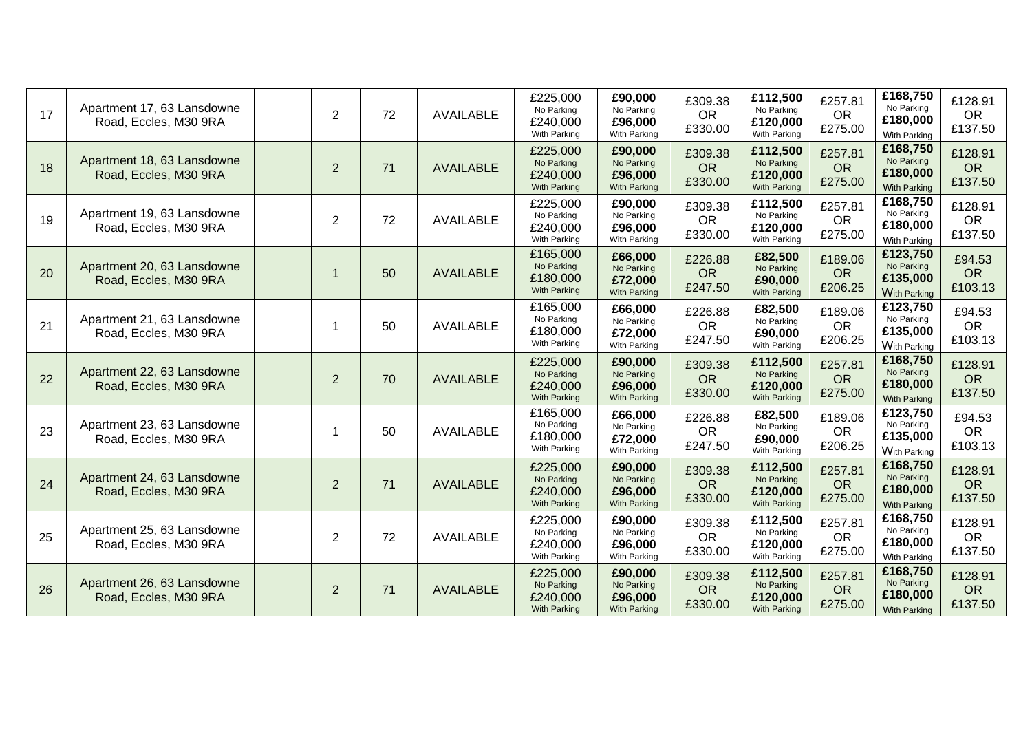| 17 | Apartment 17, 63 Lansdowne<br>Road, Eccles, M30 9RA | $\overline{2}$ | 72 | <b>AVAILABLE</b> | £225,000<br>No Parking<br>£240,000<br>With Parking        | £90,000<br>No Parking<br>£96,000<br>With Parking        | £309.38<br><b>OR</b><br>£330.00 | £112,500<br>No Parking<br>£120,000<br>With Parking        | £257.81<br><b>OR</b><br>£275.00 | £168,750<br>No Parking<br>£180,000<br><b>With Parking</b> | £128.91<br><b>OR</b><br>£137.50 |
|----|-----------------------------------------------------|----------------|----|------------------|-----------------------------------------------------------|---------------------------------------------------------|---------------------------------|-----------------------------------------------------------|---------------------------------|-----------------------------------------------------------|---------------------------------|
| 18 | Apartment 18, 63 Lansdowne<br>Road, Eccles, M30 9RA | $\overline{2}$ | 71 | <b>AVAILABLE</b> | £225,000<br>No Parking<br>£240,000<br>With Parking        | £90,000<br>No Parking<br>£96,000<br>With Parking        | £309.38<br><b>OR</b><br>£330.00 | £112,500<br>No Parking<br>£120,000<br>With Parking        | £257.81<br><b>OR</b><br>£275.00 | £168,750<br>No Parking<br>£180,000<br><b>With Parking</b> | £128.91<br><b>OR</b><br>£137.50 |
| 19 | Apartment 19, 63 Lansdowne<br>Road, Eccles, M30 9RA | $\overline{2}$ | 72 | AVAILABLE        | £225,000<br>No Parking<br>£240,000<br>With Parking        | £90,000<br>No Parking<br>£96,000<br>With Parking        | £309.38<br><b>OR</b><br>£330.00 | £112,500<br>No Parking<br>£120,000<br>With Parking        | £257.81<br><b>OR</b><br>£275.00 | £168,750<br>No Parking<br>£180,000<br><b>With Parking</b> | £128.91<br><b>OR</b><br>£137.50 |
| 20 | Apartment 20, 63 Lansdowne<br>Road, Eccles, M30 9RA | $\overline{1}$ | 50 | <b>AVAILABLE</b> | £165,000<br>No Parking<br>£180,000<br>With Parking        | £66,000<br>No Parking<br>£72,000<br>With Parking        | £226.88<br><b>OR</b><br>£247.50 | £82,500<br>No Parking<br>£90,000<br>With Parking          | £189.06<br><b>OR</b><br>£206.25 | £123,750<br>No Parking<br>£135,000<br><b>With Parking</b> | £94.53<br><b>OR</b><br>£103.13  |
| 21 | Apartment 21, 63 Lansdowne<br>Road, Eccles, M30 9RA | 1              | 50 | <b>AVAILABLE</b> | £165,000<br>No Parking<br>£180,000<br>With Parking        | £66,000<br>No Parking<br>£72,000<br>With Parking        | £226.88<br><b>OR</b><br>£247.50 | £82,500<br>No Parking<br>£90,000<br>With Parking          | £189.06<br><b>OR</b><br>£206.25 | £123,750<br>No Parking<br>£135,000<br><b>With Parking</b> | £94.53<br><b>OR</b><br>£103.13  |
| 22 | Apartment 22, 63 Lansdowne<br>Road, Eccles, M30 9RA | $\overline{2}$ | 70 | <b>AVAILABLE</b> | £225,000<br>No Parking<br>£240,000<br>With Parking        | £90,000<br>No Parking<br>£96,000<br>With Parking        | £309.38<br><b>OR</b><br>£330.00 | £112,500<br>No Parking<br>£120,000<br><b>With Parking</b> | £257.81<br><b>OR</b><br>£275.00 | £168,750<br>No Parking<br>£180,000<br><b>With Parking</b> | £128.91<br><b>OR</b><br>£137.50 |
| 23 | Apartment 23, 63 Lansdowne<br>Road, Eccles, M30 9RA | 1              | 50 | <b>AVAILABLE</b> | £165,000<br>No Parking<br>£180,000<br>With Parking        | £66,000<br>No Parking<br>£72,000<br>With Parking        | £226.88<br><b>OR</b><br>£247.50 | £82,500<br>No Parking<br>£90,000<br>With Parking          | £189.06<br><b>OR</b><br>£206.25 | £123,750<br>No Parking<br>£135,000<br><b>With Parking</b> | £94.53<br><b>OR</b><br>£103.13  |
| 24 | Apartment 24, 63 Lansdowne<br>Road, Eccles, M30 9RA | $\overline{2}$ | 71 | <b>AVAILABLE</b> | £225,000<br>No Parking<br>£240,000<br>With Parking        | £90,000<br>No Parking<br>£96,000<br>With Parking        | £309.38<br><b>OR</b><br>£330.00 | £112,500<br>No Parking<br>£120,000<br>With Parking        | £257.81<br><b>OR</b><br>£275.00 | £168,750<br>No Parking<br>£180,000<br><b>With Parking</b> | £128.91<br><b>OR</b><br>£137.50 |
| 25 | Apartment 25, 63 Lansdowne<br>Road, Eccles, M30 9RA | 2              | 72 | <b>AVAILABLE</b> | £225,000<br>No Parking<br>£240,000<br>With Parking        | £90,000<br>No Parking<br>£96,000<br>With Parking        | £309.38<br><b>OR</b><br>£330.00 | £112,500<br>No Parking<br>£120,000<br>With Parking        | £257.81<br><b>OR</b><br>£275.00 | £168,750<br>No Parking<br>£180,000<br><b>With Parking</b> | £128.91<br><b>OR</b><br>£137.50 |
| 26 | Apartment 26, 63 Lansdowne<br>Road, Eccles, M30 9RA | $\overline{2}$ | 71 | <b>AVAILABLE</b> | £225,000<br>No Parking<br>£240,000<br><b>With Parking</b> | £90,000<br>No Parking<br>£96,000<br><b>With Parking</b> | £309.38<br><b>OR</b><br>£330.00 | £112,500<br>No Parking<br>£120,000<br><b>With Parking</b> | £257.81<br><b>OR</b><br>£275.00 | £168,750<br>No Parking<br>£180,000<br><b>With Parking</b> | £128.91<br><b>OR</b><br>£137.50 |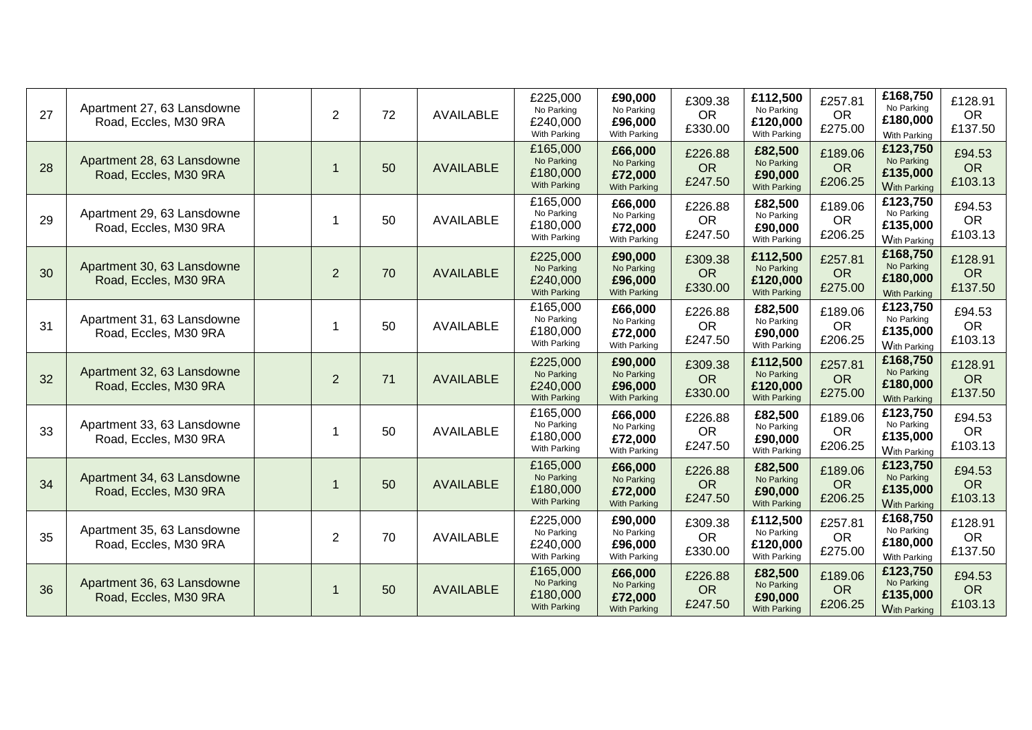| 27 | Apartment 27, 63 Lansdowne<br>Road, Eccles, M30 9RA | $\overline{2}$ | 72 | AVAILABLE        | £225,000<br>No Parking<br>£240,000<br>With Parking        | £90,000<br>No Parking<br>£96,000<br>With Parking        | £309.38<br><b>OR</b><br>£330.00 | £112,500<br>No Parking<br>£120,000<br>With Parking | £257.81<br><b>OR</b><br>£275.00 | £168,750<br>No Parking<br>£180,000<br>With Parking        | £128.91<br><b>OR</b><br>£137.50 |
|----|-----------------------------------------------------|----------------|----|------------------|-----------------------------------------------------------|---------------------------------------------------------|---------------------------------|----------------------------------------------------|---------------------------------|-----------------------------------------------------------|---------------------------------|
| 28 | Apartment 28, 63 Lansdowne<br>Road, Eccles, M30 9RA | $\mathbf 1$    | 50 | <b>AVAILABLE</b> | £165,000<br>No Parking<br>£180,000<br>With Parking        | £66,000<br>No Parking<br>£72,000<br>With Parking        | £226.88<br><b>OR</b><br>£247.50 | £82,500<br>No Parking<br>£90,000<br>With Parking   | £189.06<br><b>OR</b><br>£206.25 | £123,750<br>No Parking<br>£135,000<br><b>With Parking</b> | £94.53<br><b>OR</b><br>£103.13  |
| 29 | Apartment 29, 63 Lansdowne<br>Road, Eccles, M30 9RA | 1              | 50 | <b>AVAILABLE</b> | £165,000<br>No Parking<br>£180,000<br>With Parking        | £66,000<br>No Parking<br>£72,000<br>With Parking        | £226.88<br><b>OR</b><br>£247.50 | £82,500<br>No Parking<br>£90,000<br>With Parking   | £189.06<br><b>OR</b><br>£206.25 | £123,750<br>No Parking<br>£135,000<br><b>With Parking</b> | £94.53<br><b>OR</b><br>£103.13  |
| 30 | Apartment 30, 63 Lansdowne<br>Road, Eccles, M30 9RA | $\overline{2}$ | 70 | <b>AVAILABLE</b> | £225,000<br>No Parking<br>£240,000<br>With Parking        | £90,000<br>No Parking<br>£96,000<br>With Parking        | £309.38<br><b>OR</b><br>£330.00 | £112,500<br>No Parking<br>£120,000<br>With Parking | £257.81<br><b>OR</b><br>£275.00 | £168,750<br>No Parking<br>£180,000<br><b>With Parking</b> | £128.91<br><b>OR</b><br>£137.50 |
| 31 | Apartment 31, 63 Lansdowne<br>Road, Eccles, M30 9RA | 1              | 50 | <b>AVAILABLE</b> | £165,000<br>No Parking<br>£180,000<br>With Parking        | £66,000<br>No Parking<br>£72,000<br>With Parking        | £226.88<br><b>OR</b><br>£247.50 | £82,500<br>No Parking<br>£90,000<br>With Parking   | £189.06<br><b>OR</b><br>£206.25 | £123,750<br>No Parking<br>£135,000<br><b>With Parking</b> | £94.53<br><b>OR</b><br>£103.13  |
| 32 | Apartment 32, 63 Lansdowne<br>Road, Eccles, M30 9RA | $\overline{2}$ | 71 | <b>AVAILABLE</b> | £225,000<br>No Parking<br>£240,000<br>With Parking        | £90,000<br>No Parking<br>£96,000<br>With Parking        | £309.38<br><b>OR</b><br>£330.00 | £112,500<br>No Parking<br>£120,000<br>With Parking | £257.81<br><b>OR</b><br>£275.00 | £168,750<br>No Parking<br>£180,000<br><b>With Parking</b> | £128.91<br><b>OR</b><br>£137.50 |
| 33 | Apartment 33, 63 Lansdowne<br>Road, Eccles, M30 9RA | -1             | 50 | <b>AVAILABLE</b> | £165,000<br>No Parking<br>£180,000<br>With Parking        | £66,000<br>No Parking<br>£72,000<br>With Parking        | £226.88<br><b>OR</b><br>£247.50 | £82,500<br>No Parking<br>£90,000<br>With Parking   | £189.06<br><b>OR</b><br>£206.25 | £123,750<br>No Parking<br>£135,000<br><b>With Parking</b> | £94.53<br><b>OR</b><br>£103.13  |
| 34 | Apartment 34, 63 Lansdowne<br>Road, Eccles, M30 9RA | $\mathbf 1$    | 50 | <b>AVAILABLE</b> | £165,000<br>No Parking<br>£180,000<br><b>With Parking</b> | £66,000<br>No Parking<br>£72,000<br>With Parking        | £226.88<br><b>OR</b><br>£247.50 | £82,500<br>No Parking<br>£90,000<br>With Parking   | £189.06<br><b>OR</b><br>£206.25 | £123,750<br>No Parking<br>£135,000<br><b>With Parking</b> | £94.53<br><b>OR</b><br>£103.13  |
| 35 | Apartment 35, 63 Lansdowne<br>Road, Eccles, M30 9RA | $\overline{2}$ | 70 | <b>AVAILABLE</b> | £225,000<br>No Parking<br>£240,000<br>With Parking        | £90,000<br>No Parking<br>£96,000<br>With Parking        | £309.38<br><b>OR</b><br>£330.00 | £112,500<br>No Parking<br>£120,000<br>With Parking | £257.81<br><b>OR</b><br>£275.00 | £168,750<br>No Parking<br>£180,000<br><b>With Parking</b> | £128.91<br><b>OR</b><br>£137.50 |
| 36 | Apartment 36, 63 Lansdowne<br>Road, Eccles, M30 9RA | $\mathbf 1$    | 50 | <b>AVAILABLE</b> | £165,000<br>No Parking<br>£180,000<br><b>With Parking</b> | £66,000<br>No Parking<br>£72,000<br><b>With Parking</b> | £226.88<br><b>OR</b><br>£247.50 | £82,500<br>No Parking<br>£90,000<br>With Parking   | £189.06<br><b>OR</b><br>£206.25 | £123,750<br>No Parking<br>£135,000<br><b>With Parking</b> | £94.53<br><b>OR</b><br>£103.13  |